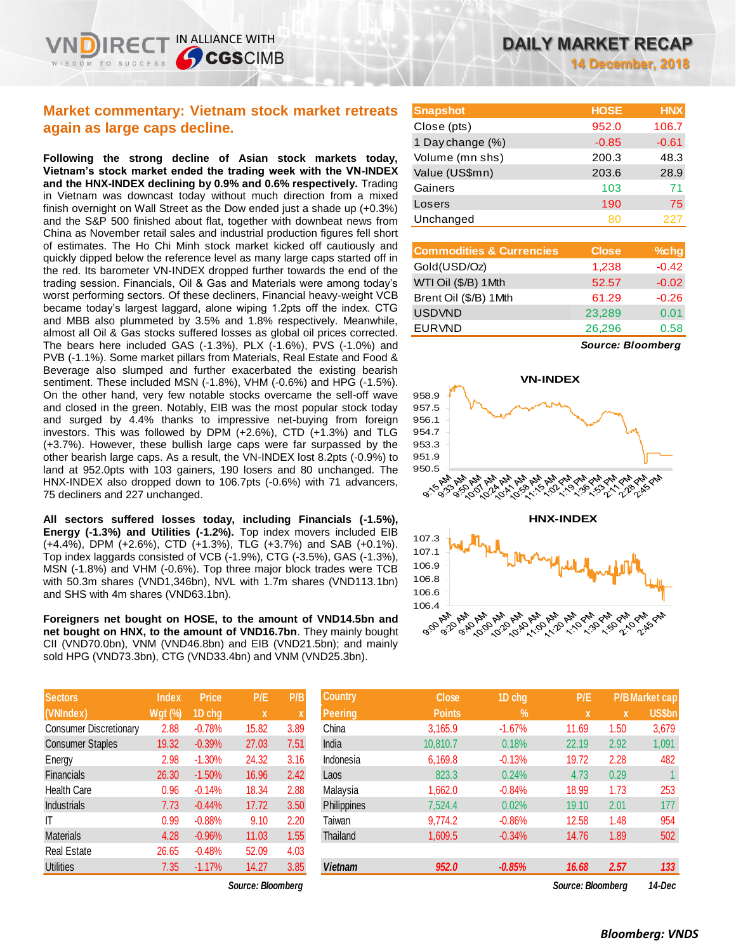**14 December, 2018**

## **Market commentary: Vietnam stock market retreats again as large caps decline.**

IN ALLIANCE WITH

**CGSCIMB** 

**Following the strong decline of Asian stock markets today, Vietnam's stock market ended the trading week with the VN-INDEX and the HNX-INDEX declining by 0.9% and 0.6% respectively.** Trading in Vietnam was downcast today without much direction from a mixed finish overnight on Wall Street as the Dow ended just a shade up (+0.3%) and the S&P 500 finished about flat, together with downbeat news from China as November retail sales and industrial production figures fell short of estimates. The Ho Chi Minh stock market kicked off cautiously and quickly dipped below the reference level as many large caps started off in the red. Its barometer VN-INDEX dropped further towards the end of the trading session. Financials, Oil & Gas and Materials were among today's worst performing sectors. Of these decliners, Financial heavy-weight VCB became today's largest laggard, alone wiping 1.2pts off the index. CTG and MBB also plummeted by 3.5% and 1.8% respectively. Meanwhile, almost all Oil & Gas stocks suffered losses as global oil prices corrected. The bears here included GAS (-1.3%), PLX (-1.6%), PVS (-1.0%) and PVB (-1.1%). Some market pillars from Materials, Real Estate and Food & Beverage also slumped and further exacerbated the existing bearish sentiment. These included MSN (-1.8%), VHM (-0.6%) and HPG (-1.5%). On the other hand, very few notable stocks overcame the sell-off wave and closed in the green. Notably, EIB was the most popular stock today and surged by 4.4% thanks to impressive net-buying from foreign investors. This was followed by DPM (+2.6%), CTD (+1.3%) and TLG (+3.7%). However, these bullish large caps were far surpassed by the other bearish large caps. As a result, the VN-INDEX lost 8.2pts (-0.9%) to land at 952.0pts with 103 gainers, 190 losers and 80 unchanged. The HNX-INDEX also dropped down to 106.7pts (-0.6%) with 71 advancers, 75 decliners and 227 unchanged.

**All sectors suffered losses today, including Financials (-1.5%), Energy (-1.3%) and Utilities (-1.2%).** Top index movers included EIB (+4.4%), DPM (+2.6%), CTD (+1.3%), TLG (+3.7%) and SAB (+0.1%). Top index laggards consisted of VCB (-1.9%), CTG (-3.5%), GAS (-1.3%), MSN (-1.8%) and VHM (-0.6%). Top three major block trades were TCB with 50.3m shares (VND1,346bn), NVL with 1.7m shares (VND113.1bn) and SHS with 4m shares (VND63.1bn).

**Foreigners net bought on HOSE, to the amount of VND14.5bn and net bought on HNX, to the amount of VND16.7bn**. They mainly bought CII (VND70.0bn), VNM (VND46.8bn) and EIB (VND21.5bn); and mainly sold HPG (VND73.3bn), CTG (VND33.4bn) and VNM (VND25.3bn).

| <b>Sectors</b>                | <b>Index</b>                   | <b>Price</b> | P/E   | P/B  |
|-------------------------------|--------------------------------|--------------|-------|------|
| (VNIndex)                     | $\overline{\mathsf{W}}$ gt (%) | 1D chg       | x     | X    |
| <b>Consumer Discretionary</b> | 2.88                           | $-0.78%$     | 15.82 | 3.89 |
| <b>Consumer Staples</b>       | 19.32                          | $-0.39%$     | 27.03 | 7.51 |
| Energy                        | 2.98                           | $-1.30%$     | 24.32 | 3.16 |
| Financials                    | 26.30                          | $-1.50%$     | 16.96 | 2.42 |
| <b>Health Care</b>            | 0.96                           | $-0.14%$     | 18.34 | 2.88 |
| <b>Industrials</b>            | 7.73                           | $-0.44%$     | 17.72 | 3.50 |
| ıτ                            | 0.99                           | $-0.88%$     | 9.10  | 2.20 |
| <b>Materials</b>              | 4.28                           | $-0.96%$     | 11.03 | 1.55 |
| <b>Real Estate</b>            | 26.65                          | $-0.48%$     | 52.09 | 4.03 |
| <b>Utilities</b>              | 7.35                           | $-1.17%$     | 14.27 | 3.85 |

| <b>Snapshot</b>  | <b>HOSE</b> | <b>HNX</b> |
|------------------|-------------|------------|
| Close (pts)      | 952.0       | 106.7      |
| 1 Day change (%) | $-0.85$     | $-0.61$    |
| Volume (mn shs)  | 200.3       | 48.3       |
| Value (US\$mn)   | 203.6       | 28.9       |
| Gainers          | 103         | 71         |
| Losers           | 190         | 75         |
| Unchanged        | 80          | 227        |
|                  |             |            |

| <b>Commodities &amp; Currencies</b> | <b>Close</b> | $%$ chg |
|-------------------------------------|--------------|---------|
| Gold(USD/Oz)                        | 1,238        | $-0.42$ |
| WTI Oil (\$/B) 1Mth                 | 52.57        | $-0.02$ |
| Brent Oil (\$/B) 1Mth               | 61.29        | $-0.26$ |
| <b>USDVND</b>                       | 23,289       | 0.01    |
| <b>EURVND</b>                       | 26,296       | 0.58    |
|                                     |              |         |

*Source: Bloomberg*



| Sectors                 | <b>Index</b>   | <b>Price</b> | P/E               | P/B  | <b>Country</b> | <b>Close</b>  | 1D chg        | P/E               |             | <b>P/B Market cap</b> |
|-------------------------|----------------|--------------|-------------------|------|----------------|---------------|---------------|-------------------|-------------|-----------------------|
| (VNIndex)               | <b>Wgt (%)</b> | 1D chg       | X                 |      | <b>Peering</b> | <b>Points</b> | $\frac{9}{6}$ | $\mathbf{x}$      | $\mathbf x$ | US\$bn                |
| Consumer Discretionary  | 2.88           | $-0.78%$     | 15.82             | 3.89 | China          | 3,165.9       | $-1.67%$      | 11.69             | 1.50        | 3,679                 |
| <b>Consumer Staples</b> | 19.32          | $-0.39%$     | 27.03             | 7.51 | India          | 10.810.7      | 0.18%         | 22.19             | 2.92        | 1,091                 |
| Energy                  | 2.98           | $-1.30%$     | 24.32             | 3.16 | Indonesia      | 6,169.8       | $-0.13%$      | 19.72             | 2.28        | 482                   |
| Financials              | 26.30          | $-1.50%$     | 16.96             | 2.42 | Laos           | 823.3         | 0.24%         | 4.73              | 0.29        |                       |
| Health Care             | 0.96           | $-0.14%$     | 18.34             | 2.88 | Malaysia       | 1,662.0       | $-0.84%$      | 18.99             | 1.73        | 253                   |
| <b>Industrials</b>      | 7.73           | $-0.44%$     | 17.72             | 3.50 | Philippines    | 7,524.4       | 0.02%         | 19.10             | 2.01        | 177                   |
|                         | 0.99           | $-0.88%$     | 9.10              | 2.20 | Taiwan         | 9.774.2       | $-0.86%$      | 12.58             | 1.48        | 954                   |
| Materials               | 4.28           | $-0.96%$     | 11.03             | 1.55 | Thailand       | 1,609.5       | $-0.34%$      | 14.76             | 1.89        | 502                   |
| Real Estate             | 26.65          | $-0.48%$     | 52.09             | 4.03 |                |               |               |                   |             |                       |
| <b>Utilities</b>        | 7.35           | $-1.17%$     | 14.27             | 3.85 | <b>Vietnam</b> | 952.0         | $-0.85%$      | 16.68             | 2.57        | 133                   |
|                         |                |              | Source: Bloomberg |      |                |               |               | Source: Bloombera |             | 14-Dec                |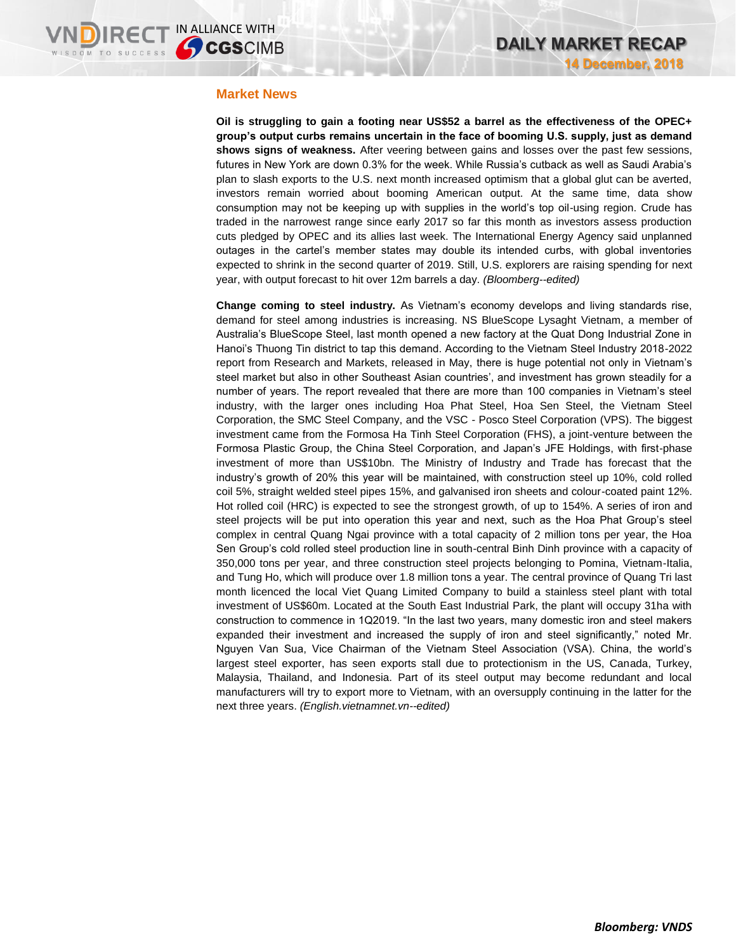### **Market News**

**Oil is struggling to gain a footing near US\$52 a barrel as the effectiveness of the OPEC+ group's output curbs remains uncertain in the face of booming U.S. supply, just as demand shows signs of weakness.** After veering between gains and losses over the past few sessions, futures in New York are down 0.3% for the week. While Russia's cutback as well as Saudi Arabia's plan to slash exports to the U.S. next month increased optimism that a global glut can be averted, investors remain worried about booming American output. At the same time, data show consumption may not be keeping up with supplies in the world's top oil-using region. Crude has traded in the narrowest range since early 2017 so far this month as investors assess production cuts pledged by OPEC and its allies last week. The International Energy Agency said unplanned outages in the cartel's member states may double its intended curbs, with global inventories expected to shrink in the second quarter of 2019. Still, U.S. explorers are raising spending for next year, with output forecast to hit over 12m barrels a day. *(Bloomberg--edited)*

**Change coming to steel industry.** As Vietnam's economy develops and living standards rise, demand for steel among industries is increasing. NS BlueScope Lysaght Vietnam, a member of Australia's BlueScope Steel, last month opened a new factory at the Quat Dong Industrial Zone in Hanoi's Thuong Tin district to tap this demand. According to the Vietnam Steel Industry 2018-2022 report from Research and Markets, released in May, there is huge potential not only in Vietnam's steel market but also in other Southeast Asian countries', and investment has grown steadily for a number of years. The report revealed that there are more than 100 companies in Vietnam's steel industry, with the larger ones including Hoa Phat Steel, Hoa Sen Steel, the Vietnam Steel Corporation, the SMC Steel Company, and the VSC - Posco Steel Corporation (VPS). The biggest investment came from the Formosa Ha Tinh Steel Corporation (FHS), a joint-venture between the Formosa Plastic Group, the China Steel Corporation, and Japan's JFE Holdings, with first-phase investment of more than US\$10bn. The Ministry of Industry and Trade has forecast that the industry's growth of 20% this year will be maintained, with construction steel up 10%, cold rolled coil 5%, straight welded steel pipes 15%, and galvanised iron sheets and colour-coated paint 12%. Hot rolled coil (HRC) is expected to see the strongest growth, of up to 154%. A series of iron and steel projects will be put into operation this year and next, such as the Hoa Phat Group's steel complex in central Quang Ngai province with a total capacity of 2 million tons per year, the Hoa Sen Group's cold rolled steel production line in south-central Binh Dinh province with a capacity of 350,000 tons per year, and three construction steel projects belonging to Pomina, Vietnam-Italia, and Tung Ho, which will produce over 1.8 million tons a year. The central province of Quang Tri last month licenced the local Viet Quang Limited Company to build a stainless steel plant with total investment of US\$60m. Located at the South East Industrial Park, the plant will occupy 31ha with construction to commence in 1Q2019. "In the last two years, many domestic iron and steel makers expanded their investment and increased the supply of iron and steel significantly," noted Mr. Nguyen Van Sua, Vice Chairman of the Vietnam Steel Association (VSA). China, the world's largest steel exporter, has seen exports stall due to protectionism in the US, Canada, Turkey, Malaysia, Thailand, and Indonesia. Part of its steel output may become redundant and local manufacturers will try to export more to Vietnam, with an oversupply continuing in the latter for the next three years. *(English.vietnamnet.vn--edited)*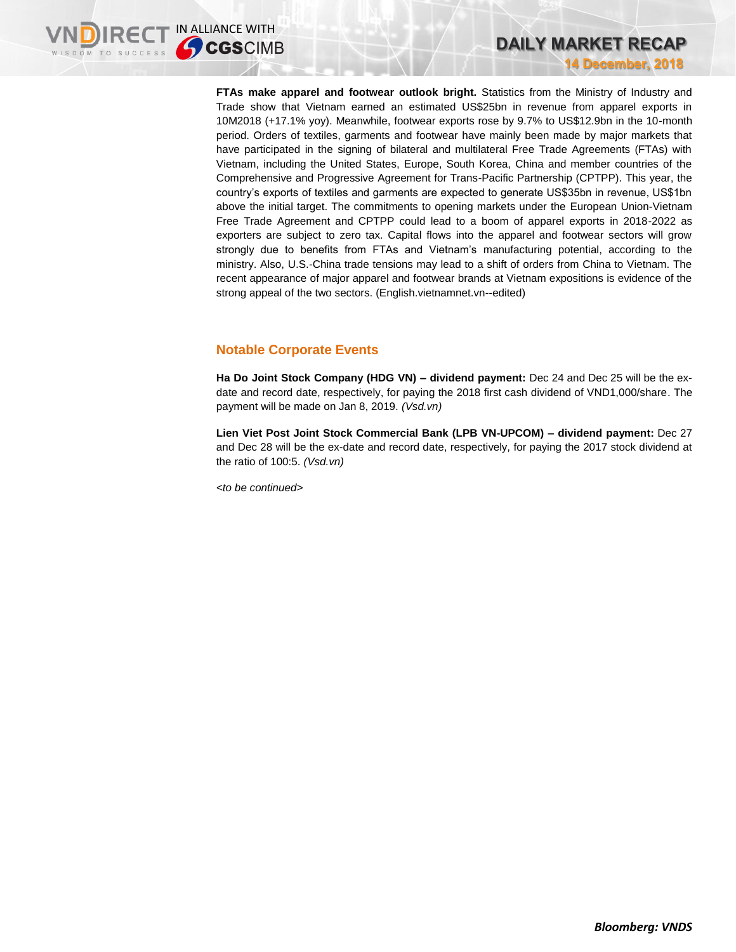**FTAs make apparel and footwear outlook bright.** Statistics from the Ministry of Industry and Trade show that Vietnam earned an estimated US\$25bn in revenue from apparel exports in 10M2018 (+17.1% yoy). Meanwhile, footwear exports rose by 9.7% to US\$12.9bn in the 10-month period. Orders of textiles, garments and footwear have mainly been made by major markets that have participated in the signing of bilateral and multilateral Free Trade Agreements (FTAs) with Vietnam, including the United States, Europe, South Korea, China and member countries of the Comprehensive and Progressive Agreement for Trans-Pacific Partnership (CPTPP). This year, the country's exports of textiles and garments are expected to generate US\$35bn in revenue, US\$1bn above the initial target. The commitments to opening markets under the European Union-Vietnam Free Trade Agreement and CPTPP could lead to a boom of apparel exports in 2018-2022 as exporters are subject to zero tax. Capital flows into the apparel and footwear sectors will grow strongly due to benefits from FTAs and Vietnam's manufacturing potential, according to the ministry. Also, U.S.-China trade tensions may lead to a shift of orders from China to Vietnam. The recent appearance of major apparel and footwear brands at Vietnam expositions is evidence of the strong appeal of the two sectors. (English.vietnamnet.vn--edited)

## **Notable Corporate Events**

**Ha Do Joint Stock Company (HDG VN) – dividend payment:** Dec 24 and Dec 25 will be the exdate and record date, respectively, for paying the 2018 first cash dividend of VND1,000/share. The payment will be made on Jan 8, 2019. *(Vsd.vn)*

**Lien Viet Post Joint Stock Commercial Bank (LPB VN-UPCOM) – dividend payment:** Dec 27 and Dec 28 will be the ex-date and record date, respectively, for paying the 2017 stock dividend at the ratio of 100:5. *(Vsd.vn)*

*<to be continued>*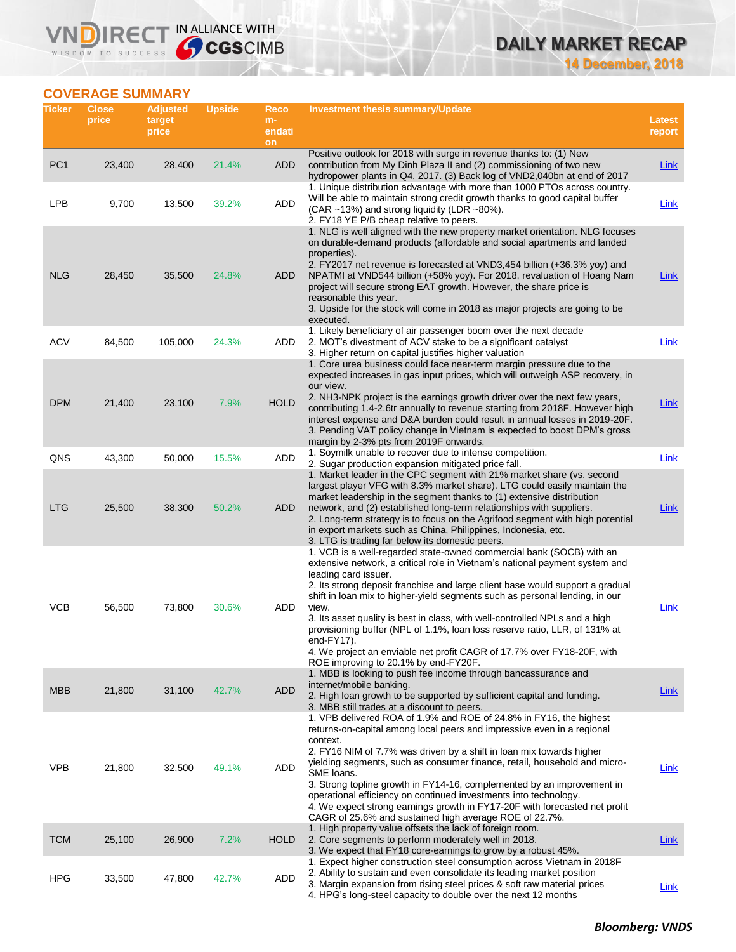# **DAILY MARKET RECAP**

**14 December, 2018**

## **COVERAGE SUMMARY**

**VNDIRECT IN ALLIANCE WITH** 

| Ticker          | <b>Close</b><br>price | <b>Adjusted</b><br>target<br>price | <b>Upside</b> | Reco<br>m-<br>endati<br>on | <b>Investment thesis summary/Update</b>                                                                                                                                                                                                                                                                                                                                                                                                                                                                                                                                                                                                           | Latest<br>report |
|-----------------|-----------------------|------------------------------------|---------------|----------------------------|---------------------------------------------------------------------------------------------------------------------------------------------------------------------------------------------------------------------------------------------------------------------------------------------------------------------------------------------------------------------------------------------------------------------------------------------------------------------------------------------------------------------------------------------------------------------------------------------------------------------------------------------------|------------------|
| PC <sub>1</sub> | 23,400                | 28,400                             | 21.4%         | <b>ADD</b>                 | Positive outlook for 2018 with surge in revenue thanks to: (1) New<br>contribution from My Dinh Plaza II and (2) commissioning of two new<br>hydropower plants in Q4, 2017. (3) Back log of VND2,040bn at end of 2017                                                                                                                                                                                                                                                                                                                                                                                                                             | Link             |
| <b>LPB</b>      | 9,700                 | 13,500                             | 39.2%         | ADD                        | 1. Unique distribution advantage with more than 1000 PTOs across country.<br>Will be able to maintain strong credit growth thanks to good capital buffer<br>(CAR ~13%) and strong liquidity (LDR ~80%).<br>2. FY18 YE P/B cheap relative to peers.                                                                                                                                                                                                                                                                                                                                                                                                | Link             |
| <b>NLG</b>      | 28,450                | 35,500                             | 24.8%         | ADD                        | 1. NLG is well aligned with the new property market orientation. NLG focuses<br>on durable-demand products (affordable and social apartments and landed<br>properties).<br>2. FY2017 net revenue is forecasted at VND3,454 billion (+36.3% yoy) and<br>NPATMI at VND544 billion (+58% yoy). For 2018, revaluation of Hoang Nam<br>project will secure strong EAT growth. However, the share price is<br>reasonable this year.<br>3. Upside for the stock will come in 2018 as major projects are going to be<br>executed.                                                                                                                         | Link             |
| <b>ACV</b>      | 84,500                | 105,000                            | 24.3%         | ADD                        | 1. Likely beneficiary of air passenger boom over the next decade<br>2. MOT's divestment of ACV stake to be a significant catalyst<br>3. Higher return on capital justifies higher valuation                                                                                                                                                                                                                                                                                                                                                                                                                                                       | Link             |
| <b>DPM</b>      | 21,400                | 23,100                             | 7.9%          | <b>HOLD</b>                | 1. Core urea business could face near-term margin pressure due to the<br>expected increases in gas input prices, which will outweigh ASP recovery, in<br>our view.<br>2. NH3-NPK project is the earnings growth driver over the next few years,<br>contributing 1.4-2.6tr annually to revenue starting from 2018F. However high<br>interest expense and D&A burden could result in annual losses in 2019-20F.<br>3. Pending VAT policy change in Vietnam is expected to boost DPM's gross<br>margin by 2-3% pts from 2019F onwards.                                                                                                               | <b>Link</b>      |
| QNS             | 43,300                | 50,000                             | 15.5%         | ADD                        | 1. Soymilk unable to recover due to intense competition.<br>2. Sugar production expansion mitigated price fall.                                                                                                                                                                                                                                                                                                                                                                                                                                                                                                                                   | Link             |
| <b>LTG</b>      | 25,500                | 38,300                             | 50.2%         | ADD                        | 1. Market leader in the CPC segment with 21% market share (vs. second<br>largest player VFG with 8.3% market share). LTG could easily maintain the<br>market leadership in the segment thanks to (1) extensive distribution<br>network, and (2) established long-term relationships with suppliers.<br>2. Long-term strategy is to focus on the Agrifood segment with high potential<br>in export markets such as China, Philippines, Indonesia, etc.<br>3. LTG is trading far below its domestic peers.                                                                                                                                          | Link             |
| <b>VCB</b>      | 56,500                | 73,800                             | 30.6%         | ADD                        | 1. VCB is a well-regarded state-owned commercial bank (SOCB) with an<br>extensive network, a critical role in Vietnam's national payment system and<br>leading card issuer.<br>2. Its strong deposit franchise and large client base would support a gradual<br>shift in loan mix to higher-yield segments such as personal lending, in our<br>view.<br>3. Its asset quality is best in class, with well-controlled NPLs and a high<br>provisioning buffer (NPL of 1.1%, loan loss reserve ratio, LLR, of 131% at<br>end-FY17).<br>4. We project an enviable net profit CAGR of 17.7% over FY18-20F, with<br>ROE improving to 20.1% by end-FY20F. | Link             |
| <b>MBB</b>      | 21,800                | 31,100                             | 42.7%         | <b>ADD</b>                 | 1. MBB is looking to push fee income through bancassurance and<br>internet/mobile banking.<br>2. High loan growth to be supported by sufficient capital and funding.<br>3. MBB still trades at a discount to peers.                                                                                                                                                                                                                                                                                                                                                                                                                               | Link             |
| <b>VPB</b>      | 21,800                | 32,500                             | 49.1%         | ADD                        | 1. VPB delivered ROA of 1.9% and ROE of 24.8% in FY16, the highest<br>returns-on-capital among local peers and impressive even in a regional<br>context.<br>2. FY16 NIM of 7.7% was driven by a shift in loan mix towards higher<br>yielding segments, such as consumer finance, retail, household and micro-<br>SME loans.<br>3. Strong topline growth in FY14-16, complemented by an improvement in<br>operational efficiency on continued investments into technology.<br>4. We expect strong earnings growth in FY17-20F with forecasted net profit<br>CAGR of 25.6% and sustained high average ROE of 22.7%.                                 | Link             |
| <b>TCM</b>      | 25,100                | 26,900                             | 7.2%          | <b>HOLD</b>                | 1. High property value offsets the lack of foreign room.<br>2. Core segments to perform moderately well in 2018.<br>3. We expect that FY18 core-earnings to grow by a robust 45%.                                                                                                                                                                                                                                                                                                                                                                                                                                                                 | <b>Link</b>      |
| <b>HPG</b>      | 33,500                | 47,800                             | 42.7%         | ADD                        | 1. Expect higher construction steel consumption across Vietnam in 2018F<br>2. Ability to sustain and even consolidate its leading market position<br>3. Margin expansion from rising steel prices & soft raw material prices<br>4. HPG's long-steel capacity to double over the next 12 months                                                                                                                                                                                                                                                                                                                                                    | <b>Link</b>      |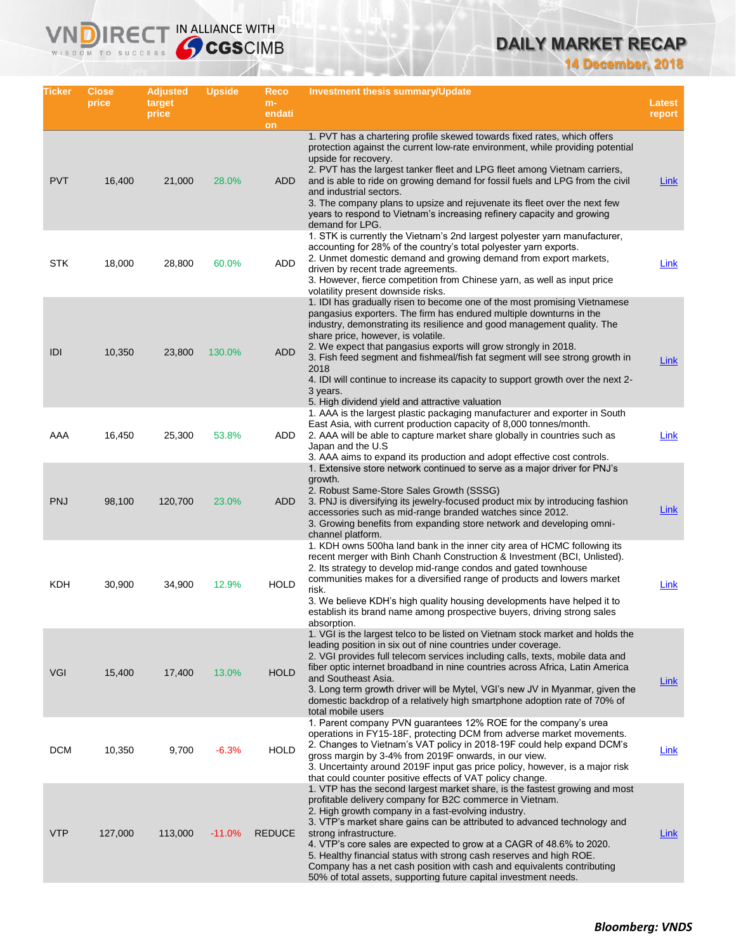# **DAILY MARKET RECAP**

**14 December, 2018**

| Ticker     | <b>Close</b><br>price | <b>Adjusted</b><br>target | <b>Upside</b> | Reco<br>$m-$  | <b>Investment thesis summary/Update</b>                                                                                                                                                                                                                                                                                                                                                                                                                                                                                                                                                           | <b>Latest</b> |
|------------|-----------------------|---------------------------|---------------|---------------|---------------------------------------------------------------------------------------------------------------------------------------------------------------------------------------------------------------------------------------------------------------------------------------------------------------------------------------------------------------------------------------------------------------------------------------------------------------------------------------------------------------------------------------------------------------------------------------------------|---------------|
|            |                       | price                     |               | endati<br>on  |                                                                                                                                                                                                                                                                                                                                                                                                                                                                                                                                                                                                   | report        |
| <b>PVT</b> | 16,400                | 21,000                    | 28.0%         | ADD.          | 1. PVT has a chartering profile skewed towards fixed rates, which offers<br>protection against the current low-rate environment, while providing potential<br>upside for recovery.<br>2. PVT has the largest tanker fleet and LPG fleet among Vietnam carriers,<br>and is able to ride on growing demand for fossil fuels and LPG from the civil<br>and industrial sectors.<br>3. The company plans to upsize and rejuvenate its fleet over the next few<br>years to respond to Vietnam's increasing refinery capacity and growing<br>demand for LPG.                                             | Link          |
| <b>STK</b> | 18,000                | 28,800                    | 60.0%         | ADD           | 1. STK is currently the Vietnam's 2nd largest polyester yarn manufacturer,<br>accounting for 28% of the country's total polyester yarn exports.<br>2. Unmet domestic demand and growing demand from export markets,<br>driven by recent trade agreements.<br>3. However, fierce competition from Chinese yarn, as well as input price<br>volatility present downside risks.                                                                                                                                                                                                                       | Link          |
| IDI        | 10,350                | 23,800                    | 130.0%        | <b>ADD</b>    | 1. IDI has gradually risen to become one of the most promising Vietnamese<br>pangasius exporters. The firm has endured multiple downturns in the<br>industry, demonstrating its resilience and good management quality. The<br>share price, however, is volatile.<br>2. We expect that pangasius exports will grow strongly in 2018.<br>3. Fish feed segment and fishmeal/fish fat segment will see strong growth in<br>2018<br>4. IDI will continue to increase its capacity to support growth over the next 2-<br>3 years.<br>5. High dividend yield and attractive valuation                   | <b>Link</b>   |
| AAA        | 16,450                | 25,300                    | 53.8%         | ADD           | 1. AAA is the largest plastic packaging manufacturer and exporter in South<br>East Asia, with current production capacity of 8,000 tonnes/month.<br>2. AAA will be able to capture market share globally in countries such as<br>Japan and the U.S.<br>3. AAA aims to expand its production and adopt effective cost controls.                                                                                                                                                                                                                                                                    | Link          |
| <b>PNJ</b> | 98,100                | 120,700                   | 23.0%         | ADD           | 1. Extensive store network continued to serve as a major driver for PNJ's<br>growth.<br>2. Robust Same-Store Sales Growth (SSSG)<br>3. PNJ is diversifying its jewelry-focused product mix by introducing fashion<br>accessories such as mid-range branded watches since 2012.<br>3. Growing benefits from expanding store network and developing omni-<br>channel platform.                                                                                                                                                                                                                      | Link          |
| KDH        | 30,900                | 34,900                    | 12.9%         | <b>HOLD</b>   | 1. KDH owns 500ha land bank in the inner city area of HCMC following its<br>recent merger with Binh Chanh Construction & Investment (BCI, Unlisted).<br>2. Its strategy to develop mid-range condos and gated townhouse<br>communities makes for a diversified range of products and lowers market<br>risk.<br>3. We believe KDH's high quality housing developments have helped it to<br>establish its brand name among prospective buyers, driving strong sales<br>absorption.                                                                                                                  | Link          |
| <b>VGI</b> | 15,400                | 17,400                    | 13.0%         | <b>HOLD</b>   | 1. VGI is the largest telco to be listed on Vietnam stock market and holds the<br>leading position in six out of nine countries under coverage.<br>2. VGI provides full telecom services including calls, texts, mobile data and<br>fiber optic internet broadband in nine countries across Africa, Latin America<br>and Southeast Asia.<br>3. Long term growth driver will be Mytel, VGI's new JV in Myanmar, given the<br>domestic backdrop of a relatively high smartphone adoption rate of 70% of<br>total mobile users                                                                       | <b>Link</b>   |
| <b>DCM</b> | 10,350                | 9,700                     | $-6.3%$       | <b>HOLD</b>   | 1. Parent company PVN guarantees 12% ROE for the company's urea<br>operations in FY15-18F, protecting DCM from adverse market movements.<br>2. Changes to Vietnam's VAT policy in 2018-19F could help expand DCM's<br>gross margin by 3-4% from 2019F onwards, in our view.<br>3. Uncertainty around 2019F input gas price policy, however, is a major risk<br>that could counter positive effects of VAT policy change.                                                                                                                                                                          | Link          |
| <b>VTP</b> | 127,000               | 113,000                   | $-11.0%$      | <b>REDUCE</b> | 1. VTP has the second largest market share, is the fastest growing and most<br>profitable delivery company for B2C commerce in Vietnam.<br>2. High growth company in a fast-evolving industry.<br>3. VTP's market share gains can be attributed to advanced technology and<br>strong infrastructure.<br>4. VTP's core sales are expected to grow at a CAGR of 48.6% to 2020.<br>5. Healthy financial status with strong cash reserves and high ROE.<br>Company has a net cash position with cash and equivalents contributing<br>50% of total assets, supporting future capital investment needs. | <b>Link</b>   |

IRECT IN ALLIANCE WITH

**VND** 

WISDOM TO SUCCESS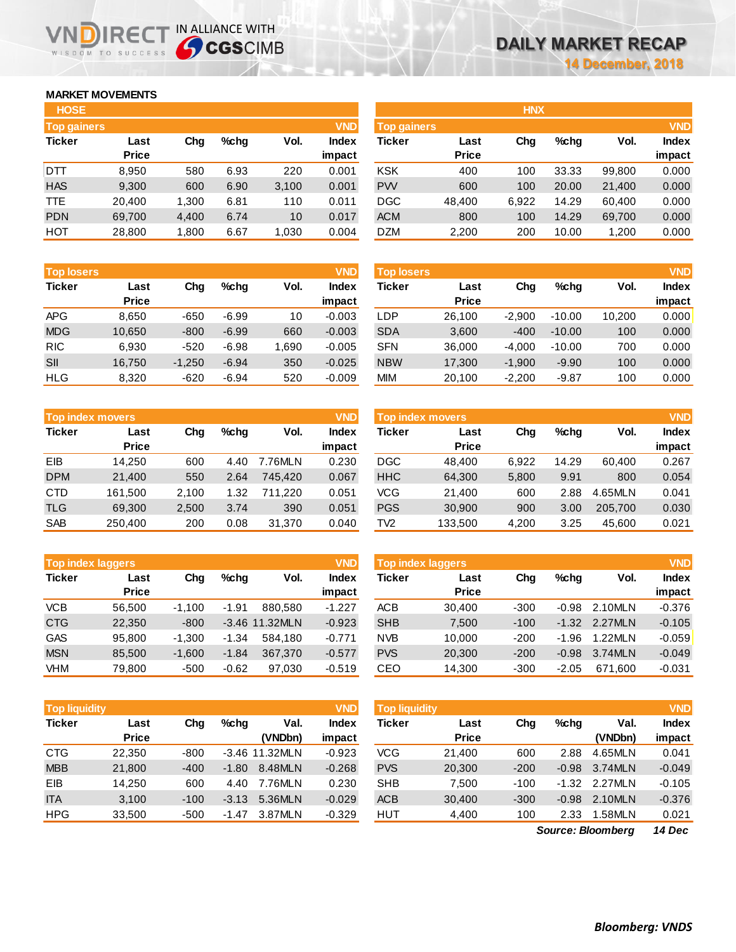### **MARKET MOVEMENTS**

WISDOM TO SUCCESS

הו

| <b>HOSE</b>        |              |       |         |       |              |
|--------------------|--------------|-------|---------|-------|--------------|
| <b>Top gainers</b> |              |       |         |       | <b>VND</b>   |
| <b>Ticker</b>      | Last         | Cha   | $%$ chq | Vol.  | <b>Index</b> |
|                    | <b>Price</b> |       |         |       | impact       |
| DTT                | 8,950        | 580   | 6.93    | 220   | 0.001        |
| <b>HAS</b>         | 9,300        | 600   | 6.90    | 3,100 | 0.001        |
| <b>TTE</b>         | 20.400       | 1,300 | 6.81    | 110   | 0.011        |
| <b>PDN</b>         | 69,700       | 4,400 | 6.74    | 10    | 0.017        |
| HOT                | 28,800       | 1,800 | 6.67    | 1,030 | 0.004        |

IRECT IN ALLIANCE WITH

| <b>Top losers</b> |              |          |         |       | <b>VND</b>   |
|-------------------|--------------|----------|---------|-------|--------------|
| <b>Ticker</b>     | Last         | Cha      | %chq    | Vol.  | <b>Index</b> |
|                   | <b>Price</b> |          |         |       | impact       |
| <b>APG</b>        | 8.650        | $-650$   | $-6.99$ | 10    | $-0.003$     |
| <b>MDG</b>        | 10,650       | $-800$   | $-6.99$ | 660   | $-0.003$     |
| <b>RIC</b>        | 6,930        | $-520$   | $-6.98$ | 1,690 | $-0.005$     |
| SII               | 16,750       | $-1,250$ | $-6.94$ | 350   | $-0.025$     |
| <b>HLG</b>        | 8,320        | $-620$   | $-6.94$ | 520   | $-0.009$     |

|               | <b>Top index movers</b> |       |      |         |              |  |  |  |  |
|---------------|-------------------------|-------|------|---------|--------------|--|--|--|--|
| <b>Ticker</b> | Last                    | Cha   | %chq | Vol.    | <b>Index</b> |  |  |  |  |
|               | <b>Price</b>            |       |      |         | impact       |  |  |  |  |
| EIB           | 14,250                  | 600   | 4.40 | 7.76MLN | 0.230        |  |  |  |  |
| <b>DPM</b>    | 21,400                  | 550   | 2.64 | 745.420 | 0.067        |  |  |  |  |
| <b>CTD</b>    | 161,500                 | 2,100 | 1.32 | 711.220 | 0.051        |  |  |  |  |
| <b>TLG</b>    | 69,300                  | 2,500 | 3.74 | 390     | 0.051        |  |  |  |  |
| <b>SAB</b>    | 250,400                 | 200   | 0.08 | 31,370  | 0.040        |  |  |  |  |

| <b>Top index laggers</b> |              |          |         |                |              |  |  |  |
|--------------------------|--------------|----------|---------|----------------|--------------|--|--|--|
| <b>Ticker</b>            | Last         | Cha      | %chq    | Vol.           | <b>Index</b> |  |  |  |
|                          | <b>Price</b> |          |         |                | impact       |  |  |  |
| <b>VCB</b>               | 56,500       | $-1,100$ | $-1.91$ | 880.580        | $-1.227$     |  |  |  |
| <b>CTG</b>               | 22,350       | $-800$   |         | -3.46 11.32MLN | $-0.923$     |  |  |  |
| <b>GAS</b>               | 95.800       | $-1,300$ | $-1.34$ | 584,180        | $-0.771$     |  |  |  |
| <b>MSN</b>               | 85,500       | $-1,600$ | $-1.84$ | 367,370        | $-0.577$     |  |  |  |
| VHM                      | 79.800       | $-500$   | $-0.62$ | 97.030         | $-0.519$     |  |  |  |

| <b>Top liquidity</b> |              |        |                 |                | <b>VND</b> |  |  |
|----------------------|--------------|--------|-----------------|----------------|------------|--|--|
| <b>Ticker</b>        | Last         | Cha    | Val.<br>$%$ chq |                |            |  |  |
|                      | <b>Price</b> |        |                 | (VNDbn)        | impact     |  |  |
| <b>CTG</b>           | 22,350       | $-800$ |                 | -3.46 11.32MLN | $-0.923$   |  |  |
| <b>MBB</b>           | 21,800       | $-400$ | $-1.80$         | 8.48MLN        | $-0.268$   |  |  |
| EIB                  | 14.250       | 600    | 4.40            | 7.76MLN        | 0.230      |  |  |
| <b>ITA</b>           | 3,100        | $-100$ | $-3.13$         | 5.36MLN        | $-0.029$   |  |  |
| <b>HPG</b>           | 33,500       | $-500$ | -1.47           | 3.87MLN        | $-0.329$   |  |  |

| <b>HOSE</b>        |              |       |      |       |              |                    |              | <b>HNX</b> |         |        |              |
|--------------------|--------------|-------|------|-------|--------------|--------------------|--------------|------------|---------|--------|--------------|
| <b>Top gainers</b> |              |       |      |       | <b>VND</b>   | <b>Top gainers</b> |              |            |         |        | <b>VND</b>   |
| Ticker             | Last         | Chg   | %chq | Vol.  | <b>Index</b> | Ticker             | Last         | Chg        | $%$ chg | Vol.   | <b>Index</b> |
|                    | <b>Price</b> |       |      |       | impact       |                    | <b>Price</b> |            |         |        | impact       |
| DTT                | 8,950        | 580   | 6.93 | 220   | 0.001        | <b>KSK</b>         | 400          | 100        | 33.33   | 99,800 | 0.000        |
| <b>HAS</b>         | 9,300        | 600   | 6.90 | 3,100 | 0.001        | <b>PW</b>          | 600          | 100        | 20.00   | 21,400 | 0.000        |
| TTE                | 20.400       | 1,300 | 6.81 | 110   | 0.011        | <b>DGC</b>         | 48,400       | 6,922      | 14.29   | 60.400 | 0.000        |
| <b>PDN</b>         | 69,700       | 4,400 | 6.74 | 10    | 0.017        | <b>ACM</b>         | 800          | 100        | 14.29   | 69,700 | 0.000        |
| НОТ                | 28,800       | 1,800 | 6.67 | 1,030 | 0.004        | <b>DZM</b>         | 2,200        | 200        | 10.00   | 1,200  | 0.000        |
|                    |              |       |      |       |              |                    |              |            |         |        |              |

| <b>Top losers</b> |          |         |      | <b>VND</b>   |            |              |                   |          |        | <b>VND</b> |
|-------------------|----------|---------|------|--------------|------------|--------------|-------------------|----------|--------|------------|
| Last              | Chg      | $%$ chq | Vol. | <b>Index</b> | Ticker     | Last         | Chg               | $%$ chq  | Vol.   | Index      |
| <b>Price</b>      |          |         |      | impact       |            | <b>Price</b> |                   |          |        | impact     |
| 8,650             | $-650$   | $-6.99$ | 10   | $-0.003$     | LDP        | 26,100       | $-2.900$          | $-10.00$ | 10,200 | 0.000      |
| 10.650            | $-800$   | $-6.99$ | 660  | $-0.003$     | <b>SDA</b> | 3,600        | $-400$            | $-10.00$ | 100    | 0.000      |
| 6,930             | $-520$   | $-6.98$ | .690 | $-0.005$     | <b>SFN</b> | 36,000       | $-4,000$          | $-10.00$ | 700    | 0.000      |
| 16,750            | $-1,250$ | $-6.94$ | 350  | $-0.025$     | <b>NBW</b> | 17,300       | $-1,900$          | $-9.90$  | 100    | 0.000      |
| 8,320             | $-620$   | $-6.94$ | 520  | $-0.009$     | <b>MIM</b> | 20,100       | $-2,200$          | $-9.87$  | 100    | 0.000      |
|                   |          |         |      |              |            |              | <b>Top losers</b> |          |        |            |

|            | Top index movers |       |      |         | <b>VND</b>   | Top index movers |              |       |         |         | <b>VND</b>   |
|------------|------------------|-------|------|---------|--------------|------------------|--------------|-------|---------|---------|--------------|
| Ticker     | Last             | Chg   | %chq | Vol.    | <b>Index</b> | Ticker           | Last         | Chg   | $%$ chq | Vol.    | <b>Index</b> |
|            | <b>Price</b>     |       |      |         | impact       |                  | <b>Price</b> |       |         |         | impact       |
| EIB        | 14.250           | 600   | 4.40 | 7.76MLN | 0.230        | <b>DGC</b>       | 48.400       | 6.922 | 14.29   | 60.400  | 0.267        |
| <b>DPM</b> | 21,400           | 550   | 2.64 | 745.420 | 0.067        | <b>HHC</b>       | 64,300       | 5,800 | 9.91    | 800     | 0.054        |
| CTD        | 161.500          | 2.100 | 1.32 | 711.220 | 0.051        | VCG.             | 21.400       | 600   | 2.88    | 4.65MLN | 0.041        |
| TLG        | 69,300           | 2,500 | 3.74 | 390     | 0.051        | <b>PGS</b>       | 30,900       | 900   | 3.00    | 205.700 | 0.030        |
| <b>SAB</b> | 250,400          | 200   | 0.08 | 31.370  | 0.040        | TV2              | 133,500      | 4,200 | 3.25    | 45.600  | 0.021        |

| <b>Top index laggers</b> |              |          |         |                  | <b>VND</b> | <b>Top index laggers</b> |              |        |         |         | <b>VND</b>   |
|--------------------------|--------------|----------|---------|------------------|------------|--------------------------|--------------|--------|---------|---------|--------------|
| Ticker                   | Last         | Chg      | %chq    | Vol.             | Index      | Ticker                   | Last         | Chg    | $%$ chq | Vol.    | <b>Index</b> |
|                          | <b>Price</b> |          |         |                  | impact     |                          | <b>Price</b> |        |         |         | impact       |
| <b>VCB</b>               | 56.500       | $-1.100$ | $-1.91$ | 880.580          | $-1.227$   | <b>ACB</b>               | 30.400       | $-300$ | $-0.98$ | 2.10MLN | $-0.376$     |
| <b>CTG</b>               | 22,350       | $-800$   |         | $-3.46$ 11.32MLN | $-0.923$   | <b>SHB</b>               | 7,500        | $-100$ | $-1.32$ | 2.27MLN | $-0.105$     |
| GAS                      | 95.800       | $-1.300$ | $-1.34$ | 584.180          | $-0.771$   | <b>NVB</b>               | 10.000       | $-200$ | $-1.96$ | 1.22MLN | $-0.059$     |
| <b>MSN</b>               | 85.500       | $-1.600$ | $-1.84$ | 367,370          | $-0.577$   | <b>PVS</b>               | 20,300       | $-200$ | $-0.98$ | 3.74MLN | $-0.049$     |
| VHM                      | 79.800       | $-500$   | $-0.62$ | 97,030           | $-0.519$   | CEO                      | 14,300       | $-300$ | $-2.05$ | 671.600 | $-0.031$     |

| <b>Top liquidity</b> |              |        |         |                  | <b>VND</b>   | <b>Top liquidity</b> |              |        |         |         | <b>VND</b>   |
|----------------------|--------------|--------|---------|------------------|--------------|----------------------|--------------|--------|---------|---------|--------------|
| Ticker               | Last         | Cha    | $%$ chq | Val.             | <b>Index</b> | Ticker               | Last         | Chg    | $%$ chq | Val.    | <b>Index</b> |
|                      | <b>Price</b> |        |         | (VNDbn)          | impact       |                      | <b>Price</b> |        |         | (VNDbn) | impact       |
| CTG                  | 22,350       | $-800$ |         | $-3.46$ 11.32MLN | $-0.923$     | VCG                  | 21.400       | 600    | 2.88    | 4.65MLN | 0.041        |
| <b>MBB</b>           | 21,800       | $-400$ | $-1.80$ | 8.48MLN          | $-0.268$     | <b>PVS</b>           | 20,300       | $-200$ | $-0.98$ | 3.74MLN | $-0.049$     |
| EIB                  | 14.250       | 600    | 4.40    | 7.76MLN          | 0.230        | <b>SHB</b>           | 7.500        | $-100$ | $-1.32$ | 2.27MLN | $-0.105$     |
| <b>ITA</b>           | 3,100        | $-100$ | $-3.13$ | 5.36MLN          | $-0.029$     | <b>ACB</b>           | 30,400       | $-300$ | $-0.98$ | 2.10MLN | $-0.376$     |
| HPG                  | 33,500       | -500   | -1.47   | 3.87MLN          | $-0.329$     | HUT                  | 4,400        | 100    | 2.33    | 1.58MLN | 0.021        |
|                      |              |        |         |                  |              |                      |              | $\sim$ | --      |         | .            |

*14 Dec Source: Bloomberg*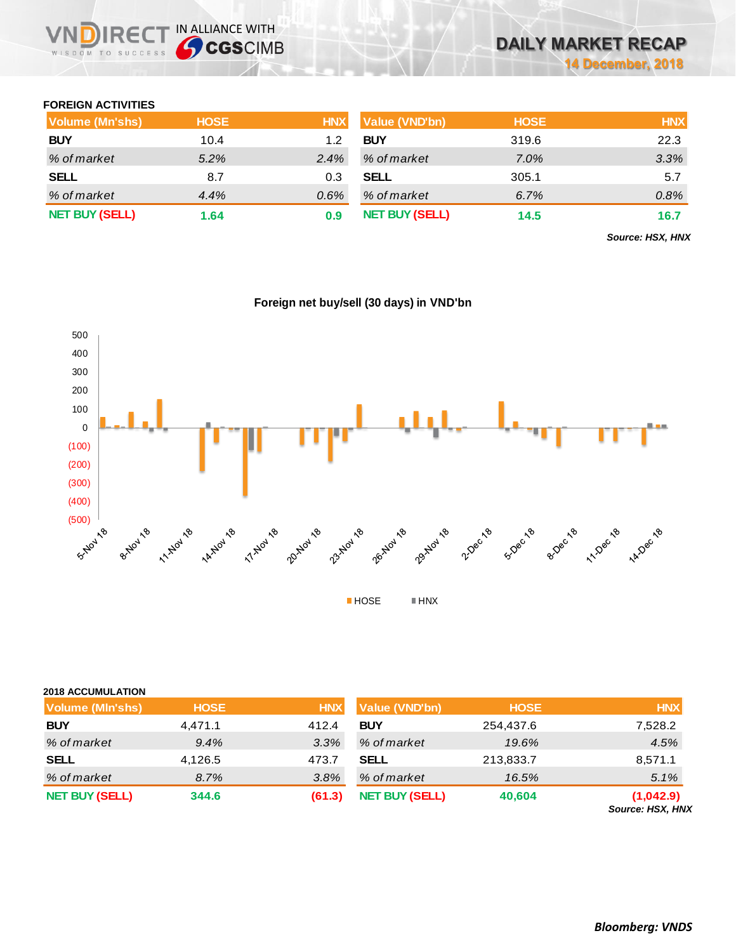### **FOREIGN ACTIVITIES**

WISDOM TO SUCCESS

**VNDIRECT IN ALLIANCE WITH** 

| Volume (Mn'shs)       | <b>HOSE</b> | <b>HNX</b> | <b>Value (VND'bn)</b> | <b>HOSE</b> | <b>HNX</b> |
|-----------------------|-------------|------------|-----------------------|-------------|------------|
| <b>BUY</b>            | 10.4        | 1.2        | <b>BUY</b>            | 319.6       | 22.3       |
| % of market           | $5.2\%$     | $2.4\%$    | % of market           | 7.0%        | 3.3%       |
| <b>SELL</b>           | 8.7         | 0.3        | <b>SELL</b>           | 305.1       | 5.7        |
| % of market           | 4.4%        | $0.6\%$    | % of market           | 6.7%        | 0.8%       |
| <b>NET BUY (SELL)</b> | 1.64        | 0.9        | <b>NET BUY (SELL)</b> | 14.5        | 16.7       |

*Source: HSX, HNX*



### **Foreign net buy/sell (30 days) in VND'bn**

| <b>2018 ACCUMULATION</b> |             |            |                       |             |                               |
|--------------------------|-------------|------------|-----------------------|-------------|-------------------------------|
| <b>Volume (MIn'shs)</b>  | <b>HOSE</b> | <b>HNX</b> | Value (VND'bn)        | <b>HOSE</b> | <b>HNX</b>                    |
| <b>BUY</b>               | 4,471.1     | 412.4      | <b>BUY</b>            | 254,437.6   | 7,528.2                       |
| % of market              | 9.4%        | 3.3%       | % of market           | 19.6%       | 4.5%                          |
| <b>SELL</b>              | 4,126.5     | 473.7      | <b>SELL</b>           | 213,833.7   | 8,571.1                       |
| % of market              | 8.7%        | 3.8%       | % of market           | 16.5%       | 5.1%                          |
| <b>NET BUY (SELL)</b>    | 344.6       | (61.3)     | <b>NET BUY (SELL)</b> | 40,604      | (1,042.9)<br>Source: HSX, HNX |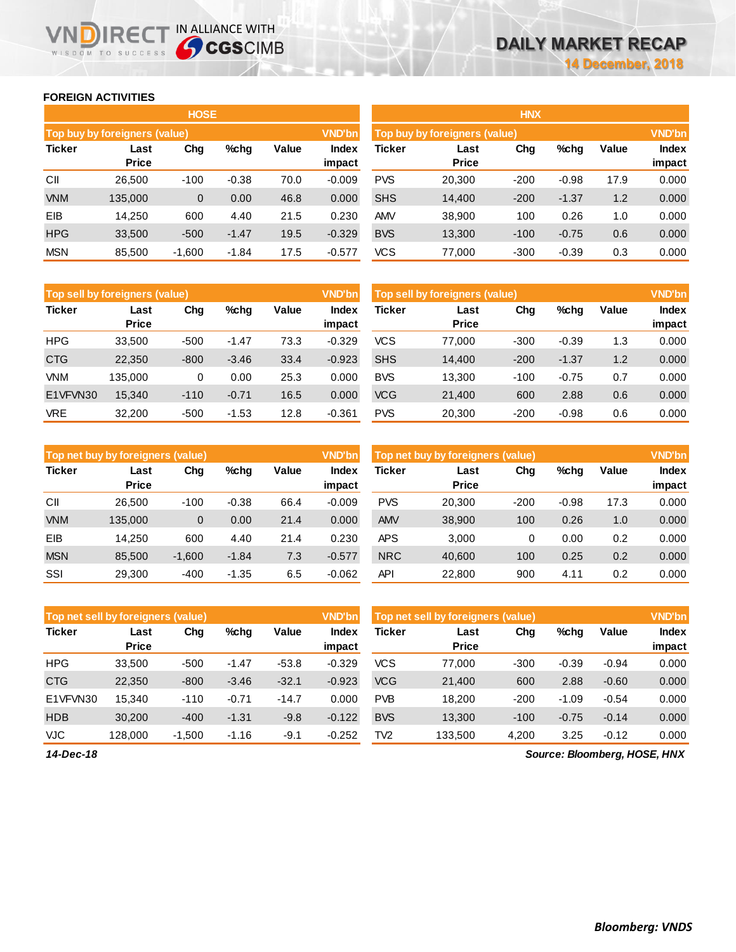### **FOREIGN ACTIVITIES**

WISDOM TO SUCCESS

**IN DIRECT IN ALLIANCE WITH** 

|               |                                      | <b>HOSE</b> |         |       |                 |               |                               | <b>HNX</b> |         |       |                        |
|---------------|--------------------------------------|-------------|---------|-------|-----------------|---------------|-------------------------------|------------|---------|-------|------------------------|
|               | <b>Top buy by foreigners (value)</b> |             |         |       | <b>VND'bn</b>   |               | Top buy by foreigners (value) |            |         |       | <b>VND'bn</b>          |
| <b>Ticker</b> | Last<br>Price                        | Chg         | %chg    | Value | Index<br>impact | <b>Ticker</b> | Last<br><b>Price</b>          | Chg        | %chg    | Value | <b>Index</b><br>impact |
| CII           | 26.500                               | $-100$      | $-0.38$ | 70.0  | $-0.009$        | <b>PVS</b>    | 20,300                        | $-200$     | $-0.98$ | 17.9  | 0.000                  |
| <b>VNM</b>    | 135,000                              | 0           | 0.00    | 46.8  | 0.000           | <b>SHS</b>    | 14,400                        | $-200$     | $-1.37$ | 1.2   | 0.000                  |
| EIB           | 14,250                               | 600         | 4.40    | 21.5  | 0.230           | AMV           | 38,900                        | 100        | 0.26    | 1.0   | 0.000                  |
| <b>HPG</b>    | 33,500                               | $-500$      | $-1.47$ | 19.5  | $-0.329$        | <b>BVS</b>    | 13,300                        | $-100$     | $-0.75$ | 0.6   | 0.000                  |
| <b>MSN</b>    | 85,500                               | $-1,600$    | $-1.84$ | 17.5  | $-0.577$        | <b>VCS</b>    | 77,000                        | $-300$     | $-0.39$ | 0.3   | 0.000                  |

| Top sell by foreigners (value) |                      |        |         |       | <b>VND'bn</b>   |               | Top sell by foreigners (value) |        |         |       | <b>VND'bn</b>   |
|--------------------------------|----------------------|--------|---------|-------|-----------------|---------------|--------------------------------|--------|---------|-------|-----------------|
| <b>Ticker</b>                  | Last<br><b>Price</b> | Chg    | %chg    | Value | Index<br>impact | <b>Ticker</b> | Last<br><b>Price</b>           | Chg    | %chg    | Value | Index<br>impact |
| <b>HPG</b>                     | 33,500               | $-500$ | $-1.47$ | 73.3  | $-0.329$        | <b>VCS</b>    | 77.000                         | $-300$ | $-0.39$ | 1.3   | 0.000           |
| <b>CTG</b>                     | 22,350               | $-800$ | $-3.46$ | 33.4  | $-0.923$        | <b>SHS</b>    | 14.400                         | $-200$ | $-1.37$ | 1.2   | 0.000           |
| VNM                            | 135.000              | 0      | 0.00    | 25.3  | 0.000           | <b>BVS</b>    | 13.300                         | $-100$ | $-0.75$ | 0.7   | 0.000           |
| E1VFVN30                       | 15,340               | $-110$ | $-0.71$ | 16.5  | 0.000           | <b>VCG</b>    | 21,400                         | 600    | 2.88    | 0.6   | 0.000           |
| <b>VRE</b>                     | 32.200               | $-500$ | $-1.53$ | 12.8  | $-0.361$        | <b>PVS</b>    | 20,300                         | $-200$ | $-0.98$ | 0.6   | 0.000           |

|               | Top net buy by foreigners (value) |          |         |       | <b>VND'bn</b>   | Top net buy by foreigners (value) |                      | <b>VND'bn</b> |         |              |                 |
|---------------|-----------------------------------|----------|---------|-------|-----------------|-----------------------------------|----------------------|---------------|---------|--------------|-----------------|
| <b>Ticker</b> | Last<br><b>Price</b>              | Chg      | $%$ chq | Value | Index<br>impact | Ticker                            | Last<br><b>Price</b> | Chg           | %chg    | <b>Value</b> | Index<br>impact |
| CII           | 26.500                            | $-100$   | $-0.38$ | 66.4  | $-0.009$        | <b>PVS</b>                        | 20,300               | $-200$        | $-0.98$ | 17.3         | 0.000           |
| <b>VNM</b>    | 135.000                           | 0        | 0.00    | 21.4  | 0.000           | <b>AMV</b>                        | 38,900               | 100           | 0.26    | 1.0          | 0.000           |
| EIB           | 14.250                            | 600      | 4.40    | 21.4  | 0.230           | APS                               | 3.000                | 0             | 0.00    | 0.2          | 0.000           |
| <b>MSN</b>    | 85.500                            | $-1,600$ | $-1.84$ | 7.3   | $-0.577$        | <b>NRC</b>                        | 40,600               | 100           | 0.25    | 0.2          | 0.000           |
| SSI           | 29.300                            | $-400$   | $-1.35$ | 6.5   | $-0.062$        | API                               | 22,800               | 900           | 4.11    | 0.2          | 0.000           |

| Top net sell by foreigners (value) |                      |          |         |         | <b>VND'bn</b>   |                 | Top net sell by foreigners (value), |        |         |         | <b>VND'bn</b>   |
|------------------------------------|----------------------|----------|---------|---------|-----------------|-----------------|-------------------------------------|--------|---------|---------|-----------------|
| <b>Ticker</b>                      | Last<br><b>Price</b> | Chg      | $%$ chq | Value   | Index<br>impact | <b>Ticker</b>   | Last<br><b>Price</b>                | Chg    | %chg    | Value   | Index<br>impact |
| <b>HPG</b>                         | 33.500               | $-500$   | $-1.47$ | $-53.8$ | $-0.329$        | <b>VCS</b>      | 77.000                              | $-300$ | $-0.39$ | $-0.94$ | 0.000           |
| <b>CTG</b>                         | 22,350               | $-800$   | $-3.46$ | $-32.1$ | $-0.923$        | <b>VCG</b>      | 21,400                              | 600    | 2.88    | $-0.60$ | 0.000           |
| E1VFVN30                           | 15.340               | $-110$   | $-0.71$ | $-14.7$ | 0.000           | <b>PVB</b>      | 18.200                              | $-200$ | $-1.09$ | $-0.54$ | 0.000           |
| <b>HDB</b>                         | 30,200               | $-400$   | $-1.31$ | $-9.8$  | $-0.122$        | <b>BVS</b>      | 13,300                              | $-100$ | $-0.75$ | $-0.14$ | 0.000           |
| <b>VJC</b>                         | 128.000              | $-1,500$ | $-1.16$ | $-9.1$  | $-0.252$        | TV <sub>2</sub> | 133,500                             | 4,200  | 3.25    | $-0.12$ | 0.000           |

*Source: Bloomberg, HOSE, HNX*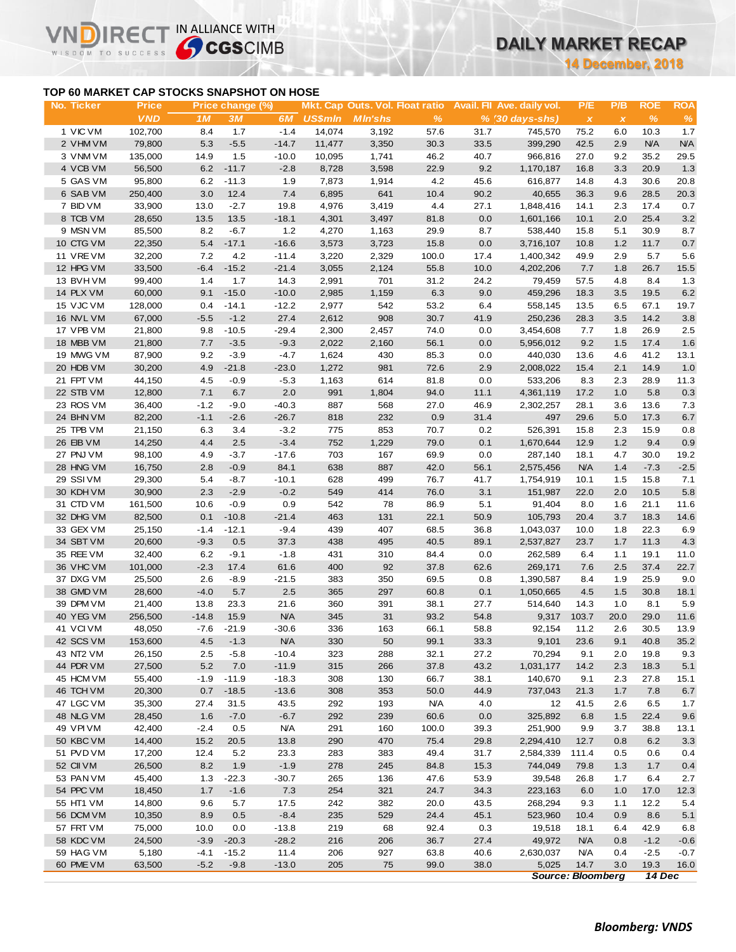# **DAILY MARKET RECAP**

**14 December, 2018**

## **TOP 60 MARKET CAP STOCKS SNAPSHOT ON HOSE**

VI

ה

IRECT IN ALLIANCE WITH

|                                           |                            |                |                        |                    |                |                                                   |               |              |                                               |                                  | <b>14 December, 2018</b> |                    |                    |
|-------------------------------------------|----------------------------|----------------|------------------------|--------------------|----------------|---------------------------------------------------|---------------|--------------|-----------------------------------------------|----------------------------------|--------------------------|--------------------|--------------------|
| TOP 60 MARKET CAP STOCKS SNAPSHOT ON HOSE |                            |                |                        |                    |                |                                                   |               |              |                                               |                                  |                          |                    |                    |
| No. Ticker                                | <b>Price</b><br><b>VND</b> | 1M             | Price change (%)<br>3M | 6M                 | <b>US\$mln</b> | Mkt. Cap Outs. Vol. Float ratio<br><b>MIn'shs</b> | $\%$          |              | Avail. Fil Ave. daily vol.<br>% (30 days-shs) | P/E<br>$\boldsymbol{\mathsf{x}}$ | P/B<br>$\pmb{\chi}$      | <b>ROE</b><br>$\%$ | <b>ROA</b><br>$\%$ |
| 1 VIC VM                                  | 102,700                    | 8.4            | 1.7                    | $-1.4$             | 14,074         | 3,192                                             | 57.6          | 31.7         | 745,570                                       | 75.2                             | 6.0                      | 10.3               | 1.7                |
| 2 VHM VM                                  | 79,800                     | 5.3            | $-5.5$                 | $-14.7$            | 11,477         | 3,350                                             | 30.3          | 33.5         | 399,290                                       | 42.5                             | 2.9                      | <b>N/A</b>         | <b>N/A</b>         |
| 3 VNM VM                                  | 135,000                    | 14.9           | 1.5                    | $-10.0$            | 10,095         | 1,741                                             | 46.2          | 40.7         | 966,816                                       | 27.0                             | 9.2                      | 35.2               | 29.5               |
| 4 VCB VM                                  | 56,500                     | 6.2            | $-11.7$                | $-2.8$             | 8,728          | 3,598                                             | 22.9          | 9.2          | 1,170,187                                     | 16.8                             | 3.3                      | 20.9               | 1.3                |
| 5 GAS VM                                  | 95,800                     | 6.2            | $-11.3$                | 1.9                | 7,873          | 1,914                                             | 4.2           | 45.6         | 616,877                                       | 14.8                             | 4.3                      | 30.6               | 20.8               |
| 6 SAB VM                                  | 250,400                    | 3.0            | 12.4                   | 7.4                | 6,895          | 641                                               | 10.4          | 90.2         | 40,655                                        | 36.3                             | 9.6                      | 28.5               | 20.3               |
| 7 BID VM                                  | 33,900                     | 13.0           | $-2.7$                 | 19.8               | 4,976          | 3,419                                             | 4.4           | 27.1         | 1,848,416                                     | 14.1                             | 2.3                      | 17.4               | 0.7                |
| 8 TCB VM                                  | 28,650                     | 13.5           | 13.5                   | $-18.1$            | 4,301          | 3,497                                             | 81.8          | 0.0          | 1,601,166                                     | 10.1                             | 2.0                      | 25.4               | 3.2                |
| 9 MSN VM                                  | 85,500                     | 8.2            | $-6.7$                 | 1.2                | 4,270          | 1,163                                             | 29.9          | 8.7          | 538,440                                       | 15.8                             | 5.1                      | 30.9               | 8.7                |
| 10 CTG VM                                 | 22,350                     | 5.4            | $-17.1$                | $-16.6$            | 3,573          | 3,723                                             | 15.8          | 0.0          | 3,716,107                                     | 10.8                             | 1.2                      | 11.7               | 0.7                |
| 11 VREVM<br>12 HPG VM                     | 32,200<br>33,500           | 7.2            | 4.2<br>$-15.2$         | $-11.4$<br>$-21.4$ | 3,220<br>3,055 | 2,329<br>2,124                                    | 100.0<br>55.8 | 17.4<br>10.0 | 1,400,342<br>4,202,206                        | 49.9<br>7.7                      | 2.9<br>1.8               | 5.7<br>26.7        | 5.6<br>15.5        |
| 13 BVHVM                                  | 99,400                     | $-6.4$<br>1.4  | 1.7                    | 14.3               | 2,991          | 701                                               | 31.2          | 24.2         | 79,459                                        | 57.5                             | 4.8                      | 8.4                | 1.3                |
| 14 PLX VM                                 | 60,000                     | 9.1            | $-15.0$                | $-10.0$            | 2,985          | 1,159                                             | 6.3           | 9.0          | 459,296                                       | 18.3                             | 3.5                      | 19.5               | $6.2\,$            |
| 15 VJC VM                                 | 128,000                    | 0.4            | $-14.1$                | $-12.2$            | 2,977          | 542                                               | 53.2          | 6.4          | 558,145                                       | 13.5                             | 6.5                      | 67.1               | 19.7               |
| 16 NVL VM                                 | 67,000                     | $-5.5$         | $-1.2$                 | 27.4               | 2,612          | 908                                               | 30.7          | 41.9         | 250,236                                       | 28.3                             | 3.5                      | 14.2               | 3.8                |
| 17 VPB VM                                 | 21,800                     | 9.8            | $-10.5$                | $-29.4$            | 2,300          | 2,457                                             | 74.0          | 0.0          | 3,454,608                                     | 7.7                              | 1.8                      | 26.9               | 2.5                |
| 18 MBB VM                                 | 21,800                     | 7.7            | $-3.5$                 | $-9.3$             | 2,022          | 2,160                                             | 56.1          | 0.0          | 5,956,012                                     | 9.2                              | 1.5                      | 17.4               | 1.6                |
| 19 MWG VM                                 | 87,900                     | 9.2            | $-3.9$                 | $-4.7$             | 1,624          | 430                                               | 85.3          | 0.0          | 440,030                                       | 13.6                             | 4.6                      | 41.2               | 13.1               |
| 20 HDB VM                                 | 30,200                     | 4.9            | $-21.8$                | $-23.0$            | 1,272          | 981                                               | 72.6          | 2.9          | 2,008,022                                     | 15.4                             | 2.1                      | 14.9               | 1.0                |
| 21 FPT VM                                 | 44,150                     | 4.5            | $-0.9$                 | $-5.3$             | 1,163          | 614                                               | 81.8          | 0.0          | 533,206                                       | 8.3                              | 2.3                      | 28.9               | 11.3               |
| 22 STB VM                                 | 12,800                     | 7.1            | 6.7                    | 2.0                | 991            | 1,804                                             | 94.0          | 11.1         | 4,361,119                                     | 17.2                             | 1.0                      | 5.8                | 0.3                |
| 23 ROS VM                                 | 36,400                     | $-1.2$         | $-9.0$                 | $-40.3$            | 887            | 568                                               | 27.0          | 46.9         | 2,302,257                                     | 28.1                             | 3.6                      | 13.6               | 7.3                |
| 24 BHN VM                                 | 82,200                     | $-1.1$         | $-2.6$                 | $-26.7$            | 818            | 232                                               | 0.9           | 31.4         | 497                                           | 29.6                             | 5.0                      | 17.3               | 6.7                |
| 25 TPB VM                                 | 21,150                     | 6.3            | 3.4                    | $-3.2$             | 775            | 853                                               | 70.7          | 0.2          | 526,391                                       | 15.8                             | 2.3                      | 15.9               | 0.8                |
| 26 EIB VM                                 | 14,250                     | 4.4            | 2.5                    | $-3.4$             | 752            | 1,229                                             | 79.0          | 0.1          | 1,670,644                                     | 12.9                             | 1.2                      | 9.4                | 0.9                |
| 27 PNJ VM                                 | 98,100                     | 4.9            | $-3.7$                 | $-17.6$            | 703            | 167                                               | 69.9          | 0.0          | 287,140                                       | 18.1                             | 4.7                      | 30.0               | 19.2               |
| 28 HNG VM                                 | 16,750                     | 2.8            | $-0.9$                 | 84.1               | 638            | 887                                               | 42.0          | 56.1         | 2,575,456                                     | <b>N/A</b>                       | 1.4                      | $-7.3$             | $-2.5$             |
| 29 SSIVM                                  | 29,300                     | 5.4            | $-8.7$                 | $-10.1$            | 628            | 499                                               | 76.7          | 41.7         | 1,754,919                                     | 10.1                             | 1.5                      | 15.8               | 7.1                |
| 30 KDH VM                                 | 30,900                     | 2.3            | $-2.9$                 | $-0.2$             | 549            | 414                                               | 76.0          | 3.1          | 151,987                                       | 22.0                             | 2.0                      | 10.5               | 5.8                |
| 31 CTD VM                                 | 161,500                    | 10.6           | $-0.9$                 | 0.9                | 542            | 78                                                | 86.9          | 5.1          | 91,404                                        | 8.0                              | 1.6                      | 21.1               | 11.6               |
| 32 DHG VM                                 | 82,500                     | 0.1            | $-10.8$                | $-21.4$            | 463            | 131                                               | 22.1          | 50.9         | 105,793                                       | 20.4                             | 3.7                      | 18.3               | 14.6               |
| 33 GEX VM                                 | 25,150                     | $-1.4$         | $-12.1$                | $-9.4$             | 439            | 407                                               | 68.5          | 36.8         | 1,043,037                                     | 10.0                             | 1.8                      | 22.3               | 6.9                |
| 34 SBT VM                                 | 20,600                     | $-9.3$         | 0.5                    | 37.3               | 438            | 495                                               | 40.5          | 89.1         | 2,537,827                                     | 23.7                             | 1.7                      | 11.3               | 4.3                |
| 35 REE VM                                 | 32,400                     | 6.2            | $-9.1$                 | $-1.8$             | 431            | 310                                               | 84.4          | 0.0          | 262,589                                       | 6.4                              | 1.1                      | 19.1               | 11.0               |
| 36 VHC VM                                 | 101,000                    | $-2.3$         | 17.4                   | 61.6               | 400            | 92                                                | 37.8          | 62.6         | 269,171                                       | 7.6                              | 2.5                      | 37.4               | 22.7               |
| 37 DXG VM                                 | 25,500                     | 2.6            | $-8.9$                 | $-21.5$            | 383            | 350                                               | 69.5          | 0.8          | 1,390,587                                     | 8.4                              | 1.9                      | 25.9               | 9.0                |
| 38 GMD VM<br>39 DPM VM                    | 28,600<br>21,400           | $-4.0$<br>13.8 | 5.7<br>23.3            | 2.5<br>21.6        | 365<br>360     | 297<br>391                                        | 60.8          | 0.1<br>27.7  | 1,050,665<br>514,640                          | 4.5<br>14.3                      | 1.5<br>1.0               | 30.8<br>8.1        | 18.1<br>5.9        |
| 40 YEG VM                                 | 256,500                    | $-14.8$        | 15.9                   | <b>N/A</b>         | 345            | 31                                                | 38.1<br>93.2  | 54.8         | 9,317                                         | 103.7                            | 20.0                     | 29.0               | 11.6               |
| 41 VCIVM                                  | 48,050                     | $-7.6$         | $-21.9$                | $-30.6$            | 336            | 163                                               | 66.1          | 58.8         | 92,154                                        | 11.2                             | 2.6                      | 30.5               | 13.9               |
| 42 SCS VM                                 | 153,600                    | 4.5            | $-1.3$                 | <b>N/A</b>         | 330            | 50                                                | 99.1          | 33.3         | 9,101                                         | 23.6                             | 9.1                      | 40.8               | 35.2               |
| 43 NT2 VM                                 | 26,150                     | 2.5            | $-5.8$                 | $-10.4$            | 323            | 288                                               | 32.1          | 27.2         | 70,294                                        | 9.1                              | 2.0                      | 19.8               | 9.3                |
| 44 PDR VM                                 | 27,500                     | 5.2            | 7.0                    | $-11.9$            | 315            | 266                                               | 37.8          | 43.2         | 1,031,177                                     | 14.2                             | 2.3                      | 18.3               | 5.1                |
| 45 HCM VM                                 | 55,400                     | $-1.9$         | $-11.9$                | $-18.3$            | 308            | 130                                               | 66.7          | 38.1         | 140,670                                       | 9.1                              | 2.3                      | 27.8               | 15.1               |
| 46 TCH VM                                 | 20,300                     | 0.7            | $-18.5$                | $-13.6$            | 308            | 353                                               | 50.0          | 44.9         | 737,043                                       | 21.3                             | 1.7                      | 7.8                | 6.7                |
| 47 LGC VM                                 | 35,300                     | 27.4           | 31.5                   | 43.5               | 292            | 193                                               | <b>N/A</b>    | 4.0          | 12                                            | 41.5                             | 2.6                      | 6.5                | 1.7                |
| 48 NLG VM                                 | 28,450                     | 1.6            | $-7.0$                 | $-6.7$             | 292            | 239                                               | 60.6          | 0.0          | 325,892                                       | 6.8                              | 1.5                      | 22.4               | 9.6                |
| 49 VPI VM                                 | 42,400                     | $-2.4$         | 0.5                    | <b>N/A</b>         | 291            | 160                                               | 100.0         | 39.3         | 251,900                                       | 9.9                              | 3.7                      | 38.8               | 13.1               |
| 50 KBC VM                                 | 14,400                     | 15.2           | 20.5                   | 13.8               | 290            | 470                                               | 75.4          | 29.8         | 2,294,410                                     | 12.7                             | 0.8                      | 6.2                | 3.3                |
| 51 PVD VM                                 | 17,200                     | 12.4           | 5.2                    | 23.3               | 283            | 383                                               | 49.4          | 31.7         | 2,584,339                                     | 111.4                            | 0.5                      | 0.6                | 0.4                |
| 52 CII VM                                 | 26,500                     | 8.2            | 1.9                    | $-1.9$             | 278            | 245                                               | 84.8          | 15.3         | 744,049                                       | 79.8                             | 1.3                      | 1.7                | 0.4                |
| 53 PAN VM                                 | 45,400                     | 1.3            | $-22.3$                | $-30.7$            | 265            | 136                                               | 47.6          | 53.9         | 39,548                                        | 26.8                             | 1.7                      | 6.4                | 2.7                |
| 54 PPC VM                                 | 18,450                     | 1.7            | $-1.6$                 | 7.3                | 254            | 321                                               | 24.7          | 34.3         | 223,163                                       | 6.0                              | 1.0                      | 17.0               | 12.3               |
| 55 HT1 VM                                 | 14,800                     | 9.6            | 5.7                    | 17.5               | 242            | 382                                               | 20.0          | 43.5         | 268,294                                       | 9.3                              | 1.1                      | 12.2               | 5.4                |
| 56 DCM VM                                 | 10,350                     | 8.9            | 0.5                    | $-8.4$             | 235            | 529                                               | 24.4          | 45.1         | 523,960                                       | 10.4                             | 0.9                      | 8.6                | 5.1                |
| 57 FRT VM                                 | 75,000                     | 10.0           | 0.0                    | $-13.8$            | 219            | 68                                                | 92.4          | 0.3          | 19,518                                        | 18.1                             | 6.4                      | 42.9               | 6.8                |
| 58 KDC VM                                 | 24,500                     | $-3.9$         | $-20.3$                | $-28.2$            | 216            | 206                                               | 36.7          | 27.4         | 49,972                                        | <b>N/A</b>                       | 0.8                      | $-1.2$             | $-0.6$             |
| 59 HAG VM                                 | 5,180                      | $-4.1$         | $-15.2$                | 11.4               | 206            | 927                                               | 63.8          | 40.6         | 2,630,037                                     | <b>N/A</b>                       | 0.4                      | $-2.5$             | $-0.7$             |
| 60 PME VM                                 | 63,500                     | $-5.2$         | $-9.8$                 | $-13.0$            | 205            | 75                                                | 99.0          | 38.0         | 5,025                                         | 14.7                             | 3.0                      | 19.3               | 16.0               |
|                                           |                            |                |                        |                    |                |                                                   |               |              |                                               | <b>Source: Bloomberg</b>         |                          | 14 Dec             |                    |